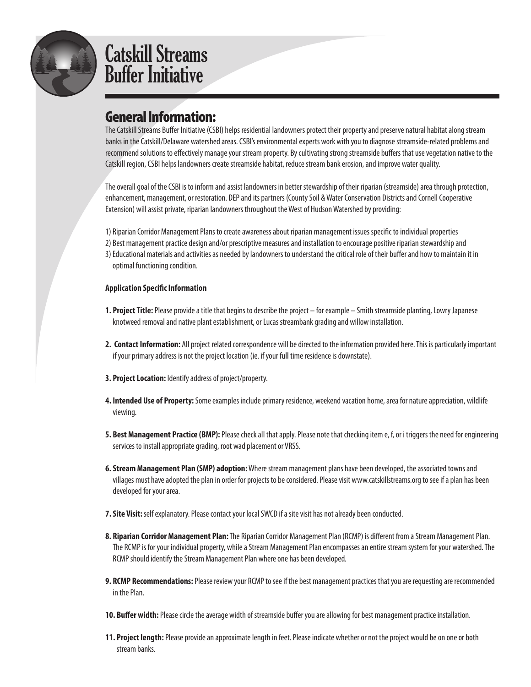

#### General Information:

The Catskill Streams Buffer Initiative (CSBI) helps residential landowners protect their property and preserve natural habitat along stream banks in the Catskill/Delaware watershed areas. CSBI's environmental experts work with you to diagnose streamside-related problems and recommend solutions to effectively manage your stream property. By cultivating strong streamside buffers that use vegetation native to the Catskill region, CSBI helps landowners create streamside habitat, reduce stream bank erosion, and improve water quality.

The overall goal of the CSBI is to inform and assist landowners in better stewardship of their riparian (streamside) area through protection, enhancement, management, or restoration. DEP and its partners (County Soil & Water Conservation Districts and Cornell Cooperative Extension) will assist private, riparian landowners throughout the West of Hudson Watershed by providing:

- 1) Riparian Corridor Management Plans to create awareness about riparian management issues specific to individual properties
- 2) Best management practice design and/or prescriptive measures and installation to encourage positive riparian stewardship and
- 3) Educational materials and activities as needed by landowners to understand the critical role of their buffer and how to maintain it in optimal functioning condition.

#### **Application Specific Information**

- **1. Project Title:** Please provide a title that begins to describe the project for example Smith streamside planting, Lowry Japanese knotweed removal and native plant establishment, or Lucas streambank grading and willow installation.
- **2. Contact Information:** All project related correspondence will be directed to the information provided here. This is particularly important if your primary address is not the project location (ie. if your full time residence is downstate).
- **3. Project Location:** Identify address of project/property.
- **4. Intended Use of Property:** Some examples include primary residence, weekend vacation home, area for nature appreciation, wildlife viewing.
- **5. Best Management Practice (BMP):** Please check all that apply. Please note that checking item e, f, or i triggers the need for engineering services to install appropriate grading, root wad placement or VRSS.
- **6. Stream Management Plan (SMP) adoption:** Where stream management plans have been developed, the associated towns and villages must have adopted the plan in order for projects to be considered. Please visit www.catskillstreams.org to see if a plan has been developed for your area.
- **7. Site Visit:** self explanatory. Please contact your local SWCD if a site visit has not already been conducted.
- **8. Riparian Corridor Management Plan:** The Riparian Corridor Management Plan (RCMP) is different from a Stream Management Plan. The RCMP is for your individual property, while a Stream Management Plan encompasses an entire stream system for your watershed. The RCMP should identify the Stream Management Plan where one has been developed.
- **9. RCMP Recommendations:** Please review your RCMP to see if the best management practices that you are requesting are recommended in the Plan.
- **10. Buffer width:** Please circle the average width of streamside buffer you are allowing for best management practice installation.
- **11. Project length:** Please provide an approximate length in feet. Please indicate whether or not the project would be on one or both stream banks.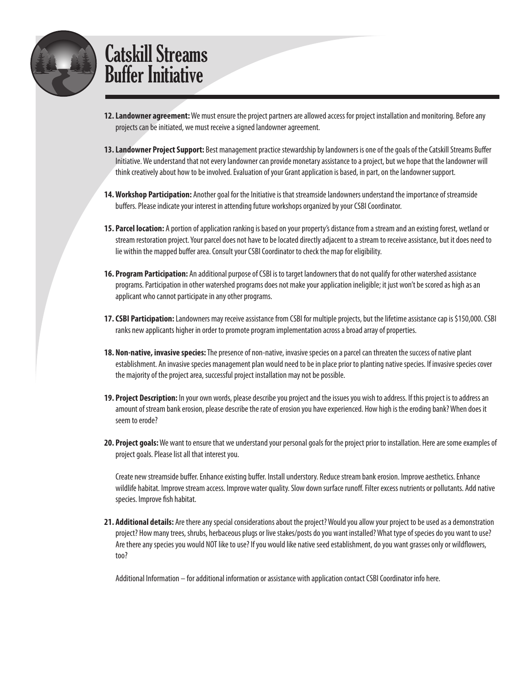

- **12. Landowner agreement:** We must ensure the project partners are allowed access for project installation and monitoring. Before any projects can be initiated, we must receive a signed landowner agreement.
- **13. Landowner Project Support:** Best management practice stewardship by landowners is one of the goals of the Catskill Streams Buffer Initiative. We understand that not every landowner can provide monetary assistance to a project, but we hope that the landowner will think creatively about how to be involved. Evaluation of your Grant application is based, in part, on the landowner support.
- **14. Workshop Participation:** Another goal for the Initiative is that streamside landowners understand the importance of streamside buffers. Please indicate your interest in attending future workshops organized by your CSBI Coordinator.
- **15. Parcel location:** A portion of application ranking is based on your property's distance from a stream and an existing forest, wetland or stream restoration project. Your parcel does not have to be located directly adjacent to a stream to receive assistance, but it does need to lie within the mapped buffer area. Consult your CSBI Coordinator to check the map for eligibility.
- **16. Program Participation:** An additional purpose of CSBI is to target landowners that do not qualify for other watershed assistance programs. Participation in other watershed programs does not make your application ineligible; it just won't be scored as high as an applicant who cannot participate in any other programs.
- **17. CSBI Participation:** Landowners may receive assistance from CSBI for multiple projects, but the lifetime assistance cap is \$150,000. CSBI ranks new applicants higher in order to promote program implementation across a broad array of properties.
- **18. Non-native, invasive species:** The presence of non-native, invasive species on a parcel can threaten the success of native plant establishment. An invasive species management plan would need to be in place prior to planting native species. If invasive species cover the majority of the project area, successful project installation may not be possible.
- **19. Project Description:** In your own words, please describe you project and the issues you wish to address. If this project is to address an amount of stream bank erosion, please describe the rate of erosion you have experienced. How high is the eroding bank? When does it seem to erode?
- **20. Project goals:** We want to ensure that we understand your personal goals for the project prior to installation. Here are some examples of project goals. Please list all that interest you.

Create new streamside buffer. Enhance existing buffer. Install understory. Reduce stream bank erosion. Improve aesthetics. Enhance wildlife habitat. Improve stream access. Improve water quality. Slow down surface runoff. Filter excess nutrients or pollutants. Add native species. Improve fish habitat.

**21. Additional details:** Are there any special considerations about the project? Would you allow your project to be used as a demonstration project? How many trees, shrubs, herbaceous plugs or live stakes/posts do you want installed? What type of species do you want to use? Are there any species you would NOT like to use? If you would like native seed establishment, do you want grasses only or wildflowers, too?

Additional Information – for additional information or assistance with application contact CSBI Coordinator info here.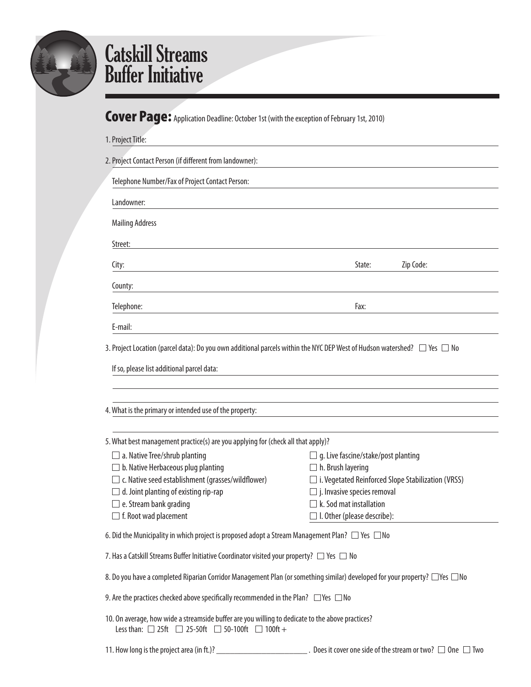

#### Cover Page: Application Deadline: October 1st (with the exception of February 1st, 2010)

| 1. Project Title:                                                                                                                                                        |                                                                        |
|--------------------------------------------------------------------------------------------------------------------------------------------------------------------------|------------------------------------------------------------------------|
| 2. Project Contact Person (if different from landowner):                                                                                                                 |                                                                        |
| Telephone Number/Fax of Project Contact Person:                                                                                                                          |                                                                        |
| Landowner:                                                                                                                                                               |                                                                        |
| <b>Mailing Address</b>                                                                                                                                                   |                                                                        |
| Street:                                                                                                                                                                  |                                                                        |
| City:                                                                                                                                                                    | Zip Code:<br>State:                                                    |
| County:                                                                                                                                                                  |                                                                        |
| Telephone:                                                                                                                                                               | Fax:                                                                   |
| E-mail:                                                                                                                                                                  |                                                                        |
| 4. What is the primary or intended use of the property:                                                                                                                  |                                                                        |
|                                                                                                                                                                          |                                                                        |
| 5. What best management practice(s) are you applying for (check all that apply)?                                                                                         |                                                                        |
| $\Box$ a. Native Tree/shrub planting<br>b. Native Herbaceous plug planting                                                                                               | $\Box$ g. Live fascine/stake/post planting<br>$\Box$ h. Brush layering |
| c. Native seed establishment (grasses/wildflower)                                                                                                                        | $\Box$ i. Vegetated Reinforced Slope Stabilization (VRSS)              |
| d. Joint planting of existing rip-rap                                                                                                                                    | $\Box$ j. Invasive species removal                                     |
| $\Box$ e. Stream bank grading                                                                                                                                            | $\Box$ k. Sod mat installation                                         |
| $\Box$ f. Root wad placement                                                                                                                                             | $\Box$ I. Other (please describe):                                     |
| 6. Did the Municipality in which project is proposed adopt a Stream Management Plan? $\Box$ Yes $\Box$ No                                                                |                                                                        |
| 7. Has a Catskill Streams Buffer Initiative Coordinator visited your property? $\Box$ Yes $\Box$ No                                                                      |                                                                        |
| 8. Do you have a completed Riparian Corridor Management Plan (or something similar) developed for your property? $\Box$ Yes $\Box$ No                                    |                                                                        |
| 9. Are the practices checked above specifically recommended in the Plan? $\Box$ Yes $\Box$ No                                                                            |                                                                        |
| 10. On average, how wide a streamside buffer are you willing to dedicate to the above practices?<br>Less than: $\Box$ 25ft $\Box$ 25-50ft $\Box$ 50-100ft $\Box$ 100ft + |                                                                        |
|                                                                                                                                                                          | . Does it cover one side of the stream or two? $\Box$ One $\Box$ Two   |